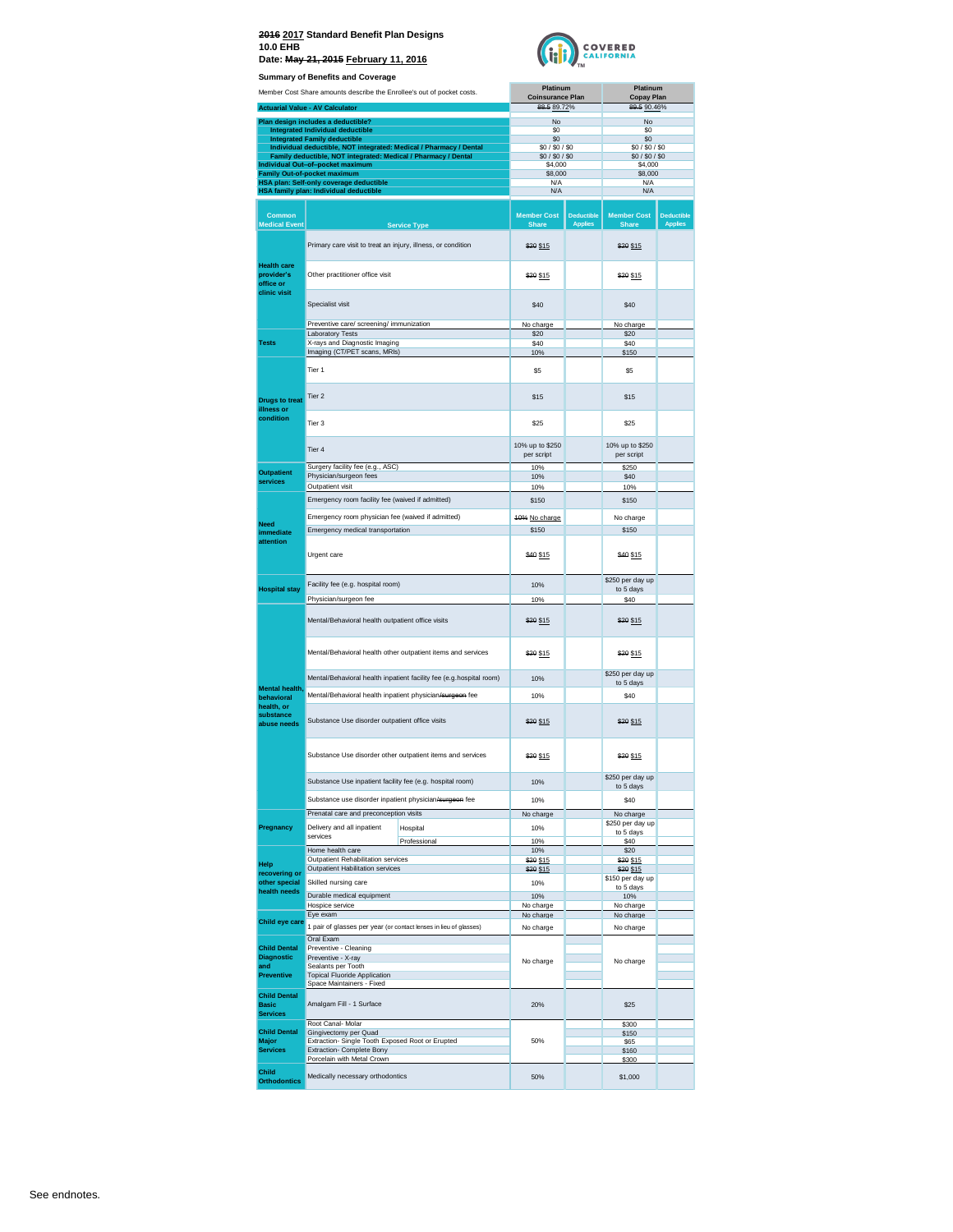

|                                     | <b>Summary of Benefits and Coverage</b>                                                                   |                                     |                                     |                               |                                     |
|-------------------------------------|-----------------------------------------------------------------------------------------------------------|-------------------------------------|-------------------------------------|-------------------------------|-------------------------------------|
|                                     | Member Cost Share amounts describe the Enrollee's out of pocket costs.                                    | Platinum<br><b>Coinsurance Plan</b> |                                     | Platinum<br><b>Copay Plan</b> |                                     |
|                                     | <b>Actuarial Value - AV Calculator</b>                                                                    | 88.5 89.72%                         |                                     | 89.5 90.46%                   |                                     |
|                                     | Plan design includes a deductible?                                                                        | No                                  |                                     | No                            |                                     |
|                                     | Integrated Individual deductible                                                                          | \$0                                 |                                     | S0                            |                                     |
|                                     | <b>Integrated Family deductible</b><br>Individual deductible, NOT integrated: Medical / Pharmacy / Dental | \$0<br>\$0 / \$0 / \$0              |                                     | \$0<br>\$0/\$0/\$0            |                                     |
|                                     | Family deductible, NOT integrated: Medical / Pharmacy / Dental                                            | \$0 / \$0 / \$0                     |                                     | \$0/\$0/\$0                   |                                     |
|                                     | Individual Out-of-pocket maximum                                                                          | \$4,000<br>\$8,000                  |                                     | \$4,000                       |                                     |
|                                     | Family Out-of-pocket maximum<br>HSA plan: Self-only coverage deductible                                   | N/A                                 |                                     | \$8,000<br>N/A                |                                     |
|                                     | HSA family plan: Individual deductible                                                                    | N/A                                 |                                     | N/A                           |                                     |
|                                     |                                                                                                           |                                     |                                     |                               |                                     |
| Common<br><b>Medical Event</b>      |                                                                                                           | <b>Member Cost</b>                  | <b>Deductible</b><br><b>Applies</b> | <b>Member Cost</b>            | <b>Deductible</b><br><b>Applies</b> |
|                                     | <b>Service Type</b>                                                                                       | <b>Share</b>                        |                                     | <b>Share</b>                  |                                     |
|                                     | Primary care visit to treat an injury, illness, or condition                                              | \$20 \$15                           |                                     | \$20 \$15                     |                                     |
|                                     |                                                                                                           |                                     |                                     |                               |                                     |
| <b>Health care</b><br>provider's    | Other practitioner office visit                                                                           |                                     |                                     |                               |                                     |
| office or                           |                                                                                                           | \$20 \$15                           |                                     | \$20 \$15                     |                                     |
| clinic visit                        |                                                                                                           |                                     |                                     |                               |                                     |
|                                     | Specialist visit                                                                                          | \$40                                |                                     | \$40                          |                                     |
|                                     | Preventive care/ screening/ immunization                                                                  | No charge                           |                                     | No charge                     |                                     |
|                                     | Laboratory Tests                                                                                          | \$20                                |                                     | \$20                          |                                     |
| <b>Tests</b>                        | X-rays and Diagnostic Imaging<br>Imaging (CT/PET scans, MRIs)                                             | \$40<br>10%                         |                                     | \$40<br>\$150                 |                                     |
|                                     |                                                                                                           |                                     |                                     |                               |                                     |
|                                     | Tier 1                                                                                                    | \$5                                 |                                     | \$5                           |                                     |
|                                     |                                                                                                           |                                     |                                     |                               |                                     |
| <b>Drugs to treat</b>               | Tier <sub>2</sub>                                                                                         | \$15                                |                                     | \$15                          |                                     |
| illness or<br>condition             |                                                                                                           |                                     |                                     |                               |                                     |
|                                     | Tier 3                                                                                                    | \$25                                |                                     | \$25                          |                                     |
|                                     |                                                                                                           | 10% up to \$250                     |                                     | 10% up to \$250               |                                     |
|                                     | Tier 4                                                                                                    | per script                          |                                     | per script                    |                                     |
| <b>Outpatient</b>                   | Surgery facility fee (e.g., ASC)                                                                          | 10%                                 |                                     | \$250                         |                                     |
| services                            | Physician/surgeon fees                                                                                    | 10%                                 |                                     | \$40                          |                                     |
|                                     | Outpatient visit                                                                                          | 10%                                 |                                     | 10%                           |                                     |
|                                     | Emergency room facility fee (waived if admitted)                                                          | \$150                               |                                     | \$150                         |                                     |
| Need<br>immediate                   | Emergency room physician fee (waived if admitted)                                                         | 40% No charge                       |                                     | No charge                     |                                     |
|                                     | Emergency medical transportation                                                                          | \$150                               |                                     | \$150                         |                                     |
| attention                           |                                                                                                           |                                     |                                     |                               |                                     |
|                                     | Urgent care                                                                                               | \$40 \$15                           |                                     | \$40 \$15                     |                                     |
|                                     |                                                                                                           |                                     |                                     |                               |                                     |
| <b>Hospital stay</b>                | Facility fee (e.g. hospital room)                                                                         | 10%                                 |                                     | \$250 per day up<br>to 5 days |                                     |
|                                     | Physician/surgeon fee                                                                                     | 10%                                 |                                     | \$40                          |                                     |
|                                     | Mental/Behavioral health outpatient office visits                                                         |                                     |                                     |                               |                                     |
|                                     |                                                                                                           | \$20 \$15                           |                                     | \$20 \$15                     |                                     |
|                                     |                                                                                                           |                                     |                                     |                               |                                     |
|                                     | Mental/Behavioral health other outpatient items and services                                              | \$20 \$15                           |                                     | \$20 \$15                     |                                     |
|                                     |                                                                                                           |                                     |                                     |                               |                                     |
| Mental health,                      | Mental/Behavioral health inpatient facility fee (e.g.hospital room)                                       | 10%                                 |                                     | \$250 per day up<br>to 5 days |                                     |
| behavioral                          | Mental/Behavioral health inpatient physician/surgeon fee                                                  | 10%                                 |                                     | \$40                          |                                     |
| health, or                          |                                                                                                           |                                     |                                     |                               |                                     |
| substance<br>abuse needs            | Substance Use disorder outpatient office visits                                                           | \$20 \$15                           |                                     | \$20 \$15                     |                                     |
|                                     |                                                                                                           |                                     |                                     |                               |                                     |
|                                     |                                                                                                           |                                     |                                     |                               |                                     |
|                                     | Substance Use disorder other outpatient items and services                                                | \$20 \$15                           |                                     | \$20 \$15                     |                                     |
|                                     | Substance Use inpatient facility fee (e.g. hospital room)                                                 |                                     |                                     | \$250 per day up              |                                     |
|                                     |                                                                                                           | 10%                                 |                                     | to 5 days                     |                                     |
|                                     | Substance use disorder inpatient physician/surgeon fee                                                    | 10%                                 |                                     | \$40                          |                                     |
|                                     | Prenatal care and preconception visits                                                                    | No charge                           |                                     | No charge                     |                                     |
| Pregnancy                           | Delivery and all inpatient<br>Hospital<br>services                                                        | 10%                                 |                                     | \$250 per day up<br>to 5 days |                                     |
|                                     | Professional                                                                                              | 10%                                 |                                     | \$40                          |                                     |
|                                     | Home health care<br>Outpatient Rehabilitation services                                                    | 10%<br>\$20 \$15                    |                                     | \$20<br>\$20 \$15             |                                     |
| Help<br>recovering or               | Outpatient Habilitation services                                                                          | \$20 \$15                           |                                     | \$20 \$15                     |                                     |
| other special                       | Skilled nursing care                                                                                      | 10%                                 |                                     | \$150 per day up<br>to 5 days |                                     |
| health needs                        | Durable medical equipment                                                                                 | 10%                                 |                                     | 10%                           |                                     |
|                                     | Hospice service                                                                                           | No charge                           |                                     | No charge                     |                                     |
| Child eye care                      | Eye exam                                                                                                  | No charge                           |                                     | No charge                     |                                     |
|                                     | 1 pair of glasses per year (or contact lenses in lieu of glasses)<br>Oral Exam                            | No charge                           |                                     | No charge                     |                                     |
| <b>Child Dental</b>                 | Preventive - Cleaning                                                                                     |                                     |                                     |                               |                                     |
| <b>Diagnostic</b><br>and            | Preventive - X-ray                                                                                        | No charge                           |                                     | No charge                     |                                     |
| <b>Preventive</b>                   | Sealants per Tooth<br><b>Topical Fluoride Application</b>                                                 |                                     |                                     |                               |                                     |
|                                     | Space Maintainers - Fixed                                                                                 |                                     |                                     |                               |                                     |
| <b>Child Dental</b><br><b>Basic</b> | Amalgam Fill - 1 Surface                                                                                  | 20%                                 |                                     | \$25                          |                                     |
| <b>Services</b>                     |                                                                                                           |                                     |                                     |                               |                                     |
| <b>Child Dental</b>                 | Root Canal- Molar                                                                                         |                                     |                                     | \$300                         |                                     |
| Major                               | Gingivectomy per Quad<br>Extraction- Single Tooth Exposed Root or Erupted                                 | 50%                                 |                                     | \$150<br>\$65                 |                                     |
| <b>Services</b>                     | Extraction- Complete Bony<br>Porcelain with Metal Crown                                                   |                                     |                                     | \$160                         |                                     |
| Child                               |                                                                                                           |                                     |                                     | \$300                         |                                     |
| <b>Orthodontics</b>                 | Medically necessary orthodontics                                                                          | 50%                                 |                                     | \$1,000                       |                                     |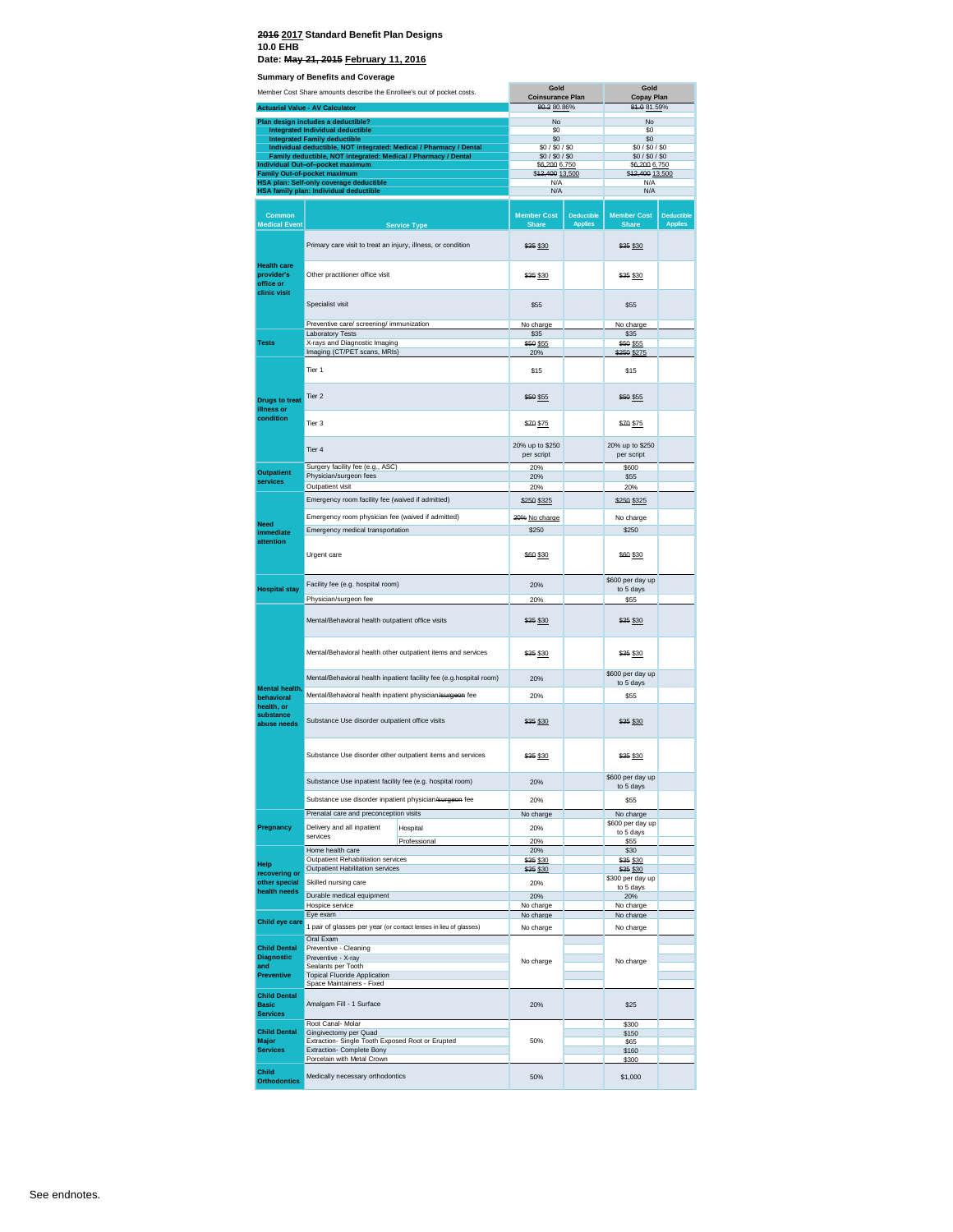#### **2016 2017 Standard Benefit Plan Designs 10.0 EHB**

**Date: May 21, 2015 February 11, 2016**

| Summary or Benerius and Coverage<br>Member Cost Share amounts describe the Enrollee's out of pocket costs. |                                                                                                                                      | Gold                                                                |                                       | Gold                                |                                       |                   |
|------------------------------------------------------------------------------------------------------------|--------------------------------------------------------------------------------------------------------------------------------------|---------------------------------------------------------------------|---------------------------------------|-------------------------------------|---------------------------------------|-------------------|
|                                                                                                            |                                                                                                                                      |                                                                     | <b>Coinsurance Plan</b><br>80.280.86% |                                     | <b>Copay Plan</b><br>84.0 81.59%      |                   |
|                                                                                                            | <b>Actuarial Value - AV Calculator</b>                                                                                               |                                                                     |                                       |                                     |                                       |                   |
|                                                                                                            | Plan design includes a deductible?<br>Integrated Individual deductible                                                               |                                                                     | No<br>\$0                             |                                     | No<br>\$0                             |                   |
|                                                                                                            | <b>Integrated Family deductible</b>                                                                                                  |                                                                     | \$0                                   |                                     | \$0                                   |                   |
|                                                                                                            | Individual deductible, NOT integrated: Medical / Pharmacy / Dental<br>Family deductible, NOT integrated: Medical / Pharmacy / Dental |                                                                     | \$0/\$0/\$0<br>\$0/\$0/\$0            |                                     | \$0/\$0/\$0<br>\$0/\$0/\$0            |                   |
|                                                                                                            | Individual Out-of-pocket maximum                                                                                                     |                                                                     | \$6,200 6,750                         |                                     | \$6,200 6,750                         |                   |
|                                                                                                            | <b>Family Out-of-pocket maximum</b><br>HSA plan: Self-only coverage deductible                                                       |                                                                     | \$42,400 13,500<br>N/A                |                                     | \$12,400 13,500<br>N/A                |                   |
|                                                                                                            | HSA family plan: Individual deductible                                                                                               |                                                                     | N/A                                   |                                     | N/A                                   |                   |
|                                                                                                            |                                                                                                                                      |                                                                     |                                       |                                     |                                       |                   |
| <b>Common</b>                                                                                              |                                                                                                                                      |                                                                     | <b>Member Cost</b>                    | <b>Deductible</b><br><b>Applies</b> | <b>Member Cost</b>                    | <b>Deductible</b> |
| <b>Medical Event</b>                                                                                       |                                                                                                                                      | <b>Service Type</b>                                                 | <b>Share</b>                          |                                     | Share                                 | <b>Applies</b>    |
|                                                                                                            | Primary care visit to treat an injury, illness, or condition                                                                         |                                                                     | \$35 \$30                             |                                     | \$35 \$30                             |                   |
| <b>Health care</b><br>provider's<br>office or                                                              | Other practitioner office visit                                                                                                      |                                                                     | \$35 \$30                             |                                     | \$35 \$30                             |                   |
| clinic visit                                                                                               | Specialist visit                                                                                                                     |                                                                     | \$55                                  |                                     | \$55                                  |                   |
|                                                                                                            | Preventive care/ screening/ immunization                                                                                             |                                                                     | No charge                             |                                     | No charge                             |                   |
|                                                                                                            | <b>Laboratory Tests</b>                                                                                                              |                                                                     | \$35                                  |                                     | \$35                                  |                   |
| <b>Tests</b>                                                                                               | X-rays and Diagnostic Imaging<br>Imaging (CT/PET scans, MRIs)                                                                        |                                                                     | \$50 \$55<br>20%                      |                                     | \$50 \$55<br>\$250 \$275              |                   |
|                                                                                                            |                                                                                                                                      |                                                                     |                                       |                                     |                                       |                   |
|                                                                                                            | Tier 1                                                                                                                               |                                                                     | \$15                                  |                                     | \$15                                  |                   |
| <b>Drugs to treat</b><br>illness or                                                                        | Tier <sub>2</sub>                                                                                                                    |                                                                     | \$50 \$55                             |                                     | \$50 \$55                             |                   |
| condition                                                                                                  | Tier <sub>3</sub>                                                                                                                    |                                                                     | \$70 \$75                             |                                     | \$70 \$75                             |                   |
|                                                                                                            | Tier 4                                                                                                                               |                                                                     | 20% up to \$250<br>per script         |                                     | 20% up to \$250<br>per script         |                   |
| <b>Outpatient</b>                                                                                          | Surgery facility fee (e.g., ASC)                                                                                                     |                                                                     | 20%                                   |                                     | \$600                                 |                   |
| services                                                                                                   | Physician/surgeon fees<br>Outpatient visit                                                                                           |                                                                     | 20%<br>20%                            |                                     | \$55<br>20%                           |                   |
|                                                                                                            | Emergency room facility fee (waived if admitted)                                                                                     |                                                                     |                                       |                                     |                                       |                   |
|                                                                                                            |                                                                                                                                      |                                                                     | \$250 \$325                           |                                     | \$250 \$325                           |                   |
| Need                                                                                                       | Emergency room physician fee (waived if admitted)                                                                                    |                                                                     | 20% No charge                         |                                     | No charge                             |                   |
| immediate                                                                                                  | Emergency medical transportation                                                                                                     |                                                                     | \$250                                 |                                     | \$250                                 |                   |
| attention                                                                                                  | Urgent care                                                                                                                          |                                                                     | \$60 \$30                             |                                     | \$60 \$30                             |                   |
|                                                                                                            | Facility fee (e.g. hospital room)                                                                                                    |                                                                     | 20%                                   |                                     | \$600 per day up                      |                   |
| <b>Hospital stay</b>                                                                                       | Physician/surgeon fee                                                                                                                |                                                                     | 20%                                   |                                     | to 5 days<br>\$55                     |                   |
|                                                                                                            | Mental/Behavioral health outpatient office visits                                                                                    |                                                                     | \$35 \$30                             |                                     | \$35 \$30                             |                   |
|                                                                                                            | Mental/Behavioral health other outpatient items and services                                                                         |                                                                     | \$35 \$30                             |                                     | \$35 \$30                             |                   |
|                                                                                                            |                                                                                                                                      | Mental/Behavioral health inpatient facility fee (e.g.hospital room) | 20%                                   |                                     | \$600 per day up                      |                   |
| Mental health,                                                                                             |                                                                                                                                      |                                                                     |                                       |                                     | to 5 days                             |                   |
| behavioral<br>health, or                                                                                   | Mental/Behavioral health inpatient physician/surgeon fee                                                                             |                                                                     | 20%                                   |                                     | \$55                                  |                   |
| substance<br>abuse needs                                                                                   | Substance Use disorder outpatient office visits                                                                                      |                                                                     | \$35 \$30                             |                                     | \$35 \$30                             |                   |
|                                                                                                            |                                                                                                                                      | Substance Use disorder other outpatient items and services          | \$35 \$30                             |                                     | \$35 \$30                             |                   |
|                                                                                                            | Substance Use inpatient facility fee (e.g. hospital room)                                                                            |                                                                     | 20%                                   |                                     | \$600 per day up<br>to 5 days         |                   |
|                                                                                                            | Substance use disorder inpatient physician/surgeon fee                                                                               |                                                                     | 20%                                   |                                     | \$55                                  |                   |
|                                                                                                            | Prenatal care and preconception visits                                                                                               |                                                                     | No charge                             |                                     | No charge                             |                   |
| Pregnancy                                                                                                  | Delivery and all inpatient<br>services                                                                                               | Hospital<br>Professional                                            | 20%<br>20%                            |                                     | \$600 per day up<br>to 5 days<br>\$55 |                   |
|                                                                                                            | Home health care                                                                                                                     |                                                                     | 20%                                   |                                     | \$30                                  |                   |
| Help                                                                                                       | Outpatient Rehabilitation services<br>Outpatient Habilitation services                                                               |                                                                     | \$35 \$30<br>\$35 \$30                |                                     | \$35 \$30<br>\$35 \$30                |                   |
| recovering or<br>other special                                                                             | Skilled nursing care                                                                                                                 |                                                                     | 20%                                   |                                     | \$300 per day up                      |                   |
| health needs                                                                                               | Durable medical equipment                                                                                                            |                                                                     | 20%                                   |                                     | to 5 days<br>20%                      |                   |
|                                                                                                            | Hospice service                                                                                                                      |                                                                     | No charge                             |                                     | No charge                             |                   |
| Child eye care                                                                                             | Eye exam                                                                                                                             |                                                                     | No charge                             |                                     | No charge                             |                   |
|                                                                                                            | 1 pair of glasses per year (or contact lenses in lieu of glasses)                                                                    |                                                                     | No charge                             |                                     | No charge                             |                   |
| <b>Child Dental</b>                                                                                        | Oral Exam<br>Preventive - Cleaning                                                                                                   |                                                                     |                                       |                                     |                                       |                   |
| <b>Diagnostic</b>                                                                                          | Preventive - X-ray                                                                                                                   |                                                                     | No charge                             |                                     | No charge                             |                   |
| and<br><b>Preventive</b>                                                                                   | Sealants per Tooth<br><b>Topical Fluoride Application</b>                                                                            |                                                                     |                                       |                                     |                                       |                   |
|                                                                                                            | Space Maintainers - Fixed                                                                                                            |                                                                     |                                       |                                     |                                       |                   |
| <b>Child Dental</b><br><b>Basic</b>                                                                        | Amalgam Fill - 1 Surface                                                                                                             |                                                                     | 20%                                   |                                     | \$25                                  |                   |
| <b>Services</b>                                                                                            | Root Canal- Molar                                                                                                                    |                                                                     |                                       |                                     | \$300                                 |                   |
| <b>Child Dental</b>                                                                                        | Gingivectomy per Quad                                                                                                                |                                                                     |                                       |                                     | \$150                                 |                   |
| Major<br><b>Services</b>                                                                                   | Extraction- Single Tooth Exposed Root or Erupted<br>Extraction- Complete Bony                                                        |                                                                     | 50%                                   |                                     | \$65<br>\$160                         |                   |
|                                                                                                            | Porcelain with Metal Crown                                                                                                           |                                                                     |                                       |                                     | \$300                                 |                   |
| <b>Child</b><br><b>Orthodontics</b>                                                                        | Medically necessary orthodontics                                                                                                     |                                                                     | 50%                                   |                                     | \$1,000                               |                   |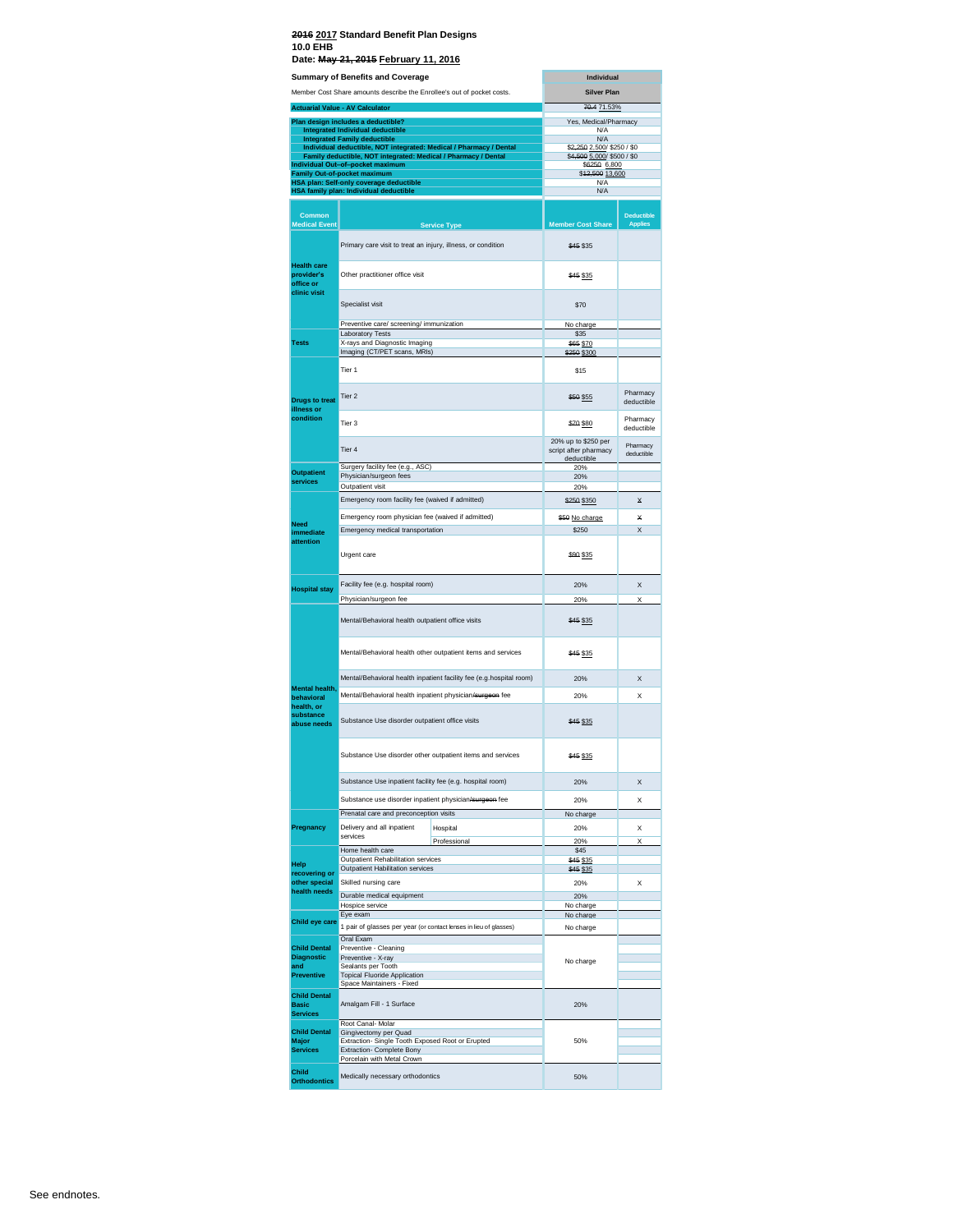|                                                        | Date: May 21, 2015 February 11, 2016<br><b>Summary of Benefits and Coverage</b>                                  | Individual                                                 |                        |
|--------------------------------------------------------|------------------------------------------------------------------------------------------------------------------|------------------------------------------------------------|------------------------|
|                                                        |                                                                                                                  |                                                            |                        |
|                                                        | Member Cost Share amounts describe the Enrollee's out of pocket costs.<br><b>Actuarial Value - AV Calculator</b> | <b>Silver Plan</b><br>70.4 71.53%                          |                        |
|                                                        | Plan design includes a deductible?                                                                               | Yes, Medical/Pharmacy                                      |                        |
|                                                        | <b>Integrated Individual deductible</b><br><b>Integrated Family deductible</b>                                   | N/A<br>N/A                                                 |                        |
|                                                        | Individual deductible, NOT integrated: Medical / Pharmacy / Dental                                               | \$2,250 2,500/ \$250 / \$0<br>\$4,500 5,000/ \$500 / \$0   |                        |
|                                                        | Family deductible, NOT integrated: Medical / Pharmacy / Dental<br>Individual Out–of–pocket maximum               | \$6250 6,800                                               |                        |
|                                                        | Family Out-of-pocket maximum<br>HSA plan: Self-only coverage deductible                                          | \$42,500 13,600<br>N/A                                     |                        |
|                                                        | HSA family plan: Individual deductible                                                                           | N/A                                                        |                        |
| Common                                                 |                                                                                                                  |                                                            | <b>Deductible</b>      |
| <b>Medical Event</b>                                   | <b>Service Type</b>                                                                                              | <b>Member Cost Share</b>                                   | <b>Applies</b>         |
| <b>Health care</b>                                     | Primary care visit to treat an injury, illness, or condition                                                     | \$45 \$35                                                  |                        |
| provider's<br>office or<br>clinic visit                | Other practitioner office visit                                                                                  | \$45 \$35                                                  |                        |
|                                                        | Specialist visit                                                                                                 | \$70                                                       |                        |
|                                                        | Preventive care/ screening/ immunization<br>Laboratory Tests                                                     | No charge<br>\$35                                          |                        |
| <b>Tests</b>                                           | X-rays and Diagnostic Imaging<br>Imaging (CT/PET scans, MRIs)                                                    | \$65 \$70<br>\$250 \$300                                   |                        |
|                                                        | Tier 1                                                                                                           | \$15                                                       |                        |
| <b>Druas to treat</b>                                  | Tier <sub>2</sub>                                                                                                | \$50 \$55                                                  | Pharmacy<br>deductible |
| illness or<br>condition                                | Tier 3                                                                                                           | \$70 \$80                                                  | Pharmacy<br>deductible |
|                                                        | Tier 4                                                                                                           | 20% up to \$250 per<br>script after pharmacy<br>deductible | Pharmacy<br>deductible |
| <b>Outpatient</b>                                      | Surgery facility fee (e.g., ASC)<br>Physician/surgeon fees                                                       | 20%<br>20%                                                 |                        |
| services                                               | Outpatient visit                                                                                                 | 20%                                                        |                        |
|                                                        | Emergency room facility fee (waived if admitted)                                                                 | \$250 \$350                                                | ×                      |
| <b>Need</b>                                            | Emergency room physician fee (waived if admitted)                                                                | \$50 No charge                                             | ¥                      |
| immediate<br>attention                                 | Emergency medical transportation                                                                                 | \$250                                                      | X                      |
|                                                        | Urgent care                                                                                                      | \$99 \$35                                                  |                        |
| <b>Hospital stay</b>                                   | Facility fee (e.g. hospital room)                                                                                | 20%                                                        | X                      |
|                                                        | Physician/surgeon fee                                                                                            | 20%                                                        | X                      |
|                                                        | Mental/Behavioral health outpatient office visits                                                                | \$45 \$35                                                  |                        |
|                                                        | Mental/Behavioral health other outpatient items and services                                                     | \$45 \$35                                                  |                        |
|                                                        | Mental/Behavioral health inpatient facility fee (e.g.hospital room)                                              | 20%                                                        | X                      |
| Mental health,<br>behavioral                           | Mental/Behavioral health inpatient physician/surgeon fee                                                         | 20%                                                        | X                      |
| health, or<br>substance<br>abuse needs                 | Substance Use disorder outpatient office visits                                                                  | \$45 \$35                                                  |                        |
|                                                        | Substance Use disorder other outpatient items and services                                                       |                                                            |                        |
|                                                        | Substance Use inpatient facility fee (e.g. hospital room)                                                        | \$45 \$35<br>20%                                           | X                      |
|                                                        | Substance use disorder inpatient physician/surgeon fee                                                           |                                                            |                        |
|                                                        | Prenatal care and preconception visits                                                                           | 20%<br>No charge                                           | X                      |
| Pregnancy                                              | Delivery and all inpatient<br>Hospital                                                                           | 20%                                                        | x                      |
|                                                        | services<br>Professional                                                                                         | 20%                                                        | X                      |
| Help                                                   | Home health care<br>Outpatient Rehabilitation services                                                           | \$45<br>\$45 \$35                                          |                        |
| recovering or                                          | Outpatient Habilitation services                                                                                 | \$45 \$35                                                  |                        |
| other special<br>health needs                          | Skilled nursing care<br>Durable medical equipment                                                                | 20%<br>20%                                                 | X                      |
|                                                        | Hospice service<br>Eye exam                                                                                      | No charge                                                  |                        |
| Child eye care                                         | 1 pair of glasses per year (or contact lenses in lieu of glasses)                                                | No charge<br>No charge                                     |                        |
| <b>Child Dental</b>                                    | Oral Exam<br>Preventive - Cleaning                                                                               |                                                            |                        |
| <b>Diagnostic</b><br>and                               | Preventive - X-ray<br>Sealants per Tooth                                                                         | No charge                                                  |                        |
| <b>Preventive</b>                                      | <b>Topical Fluoride Application</b><br>Space Maintainers - Fixed                                                 |                                                            |                        |
| <b>Child Dental</b>                                    | Amalgam Fill - 1 Surface                                                                                         | 20%                                                        |                        |
| <b>Basic</b>                                           |                                                                                                                  |                                                            |                        |
|                                                        | Root Canal-Molar                                                                                                 |                                                            |                        |
| <b>Services</b><br><b>Child Dental</b><br><b>Major</b> | Gingivectomy per Quad<br>Extraction- Single Tooth Exposed Root or Erupted                                        | 50%                                                        |                        |
| <b>Services</b>                                        | Extraction- Complete Bony<br>Porcelain with Metal Crown                                                          |                                                            |                        |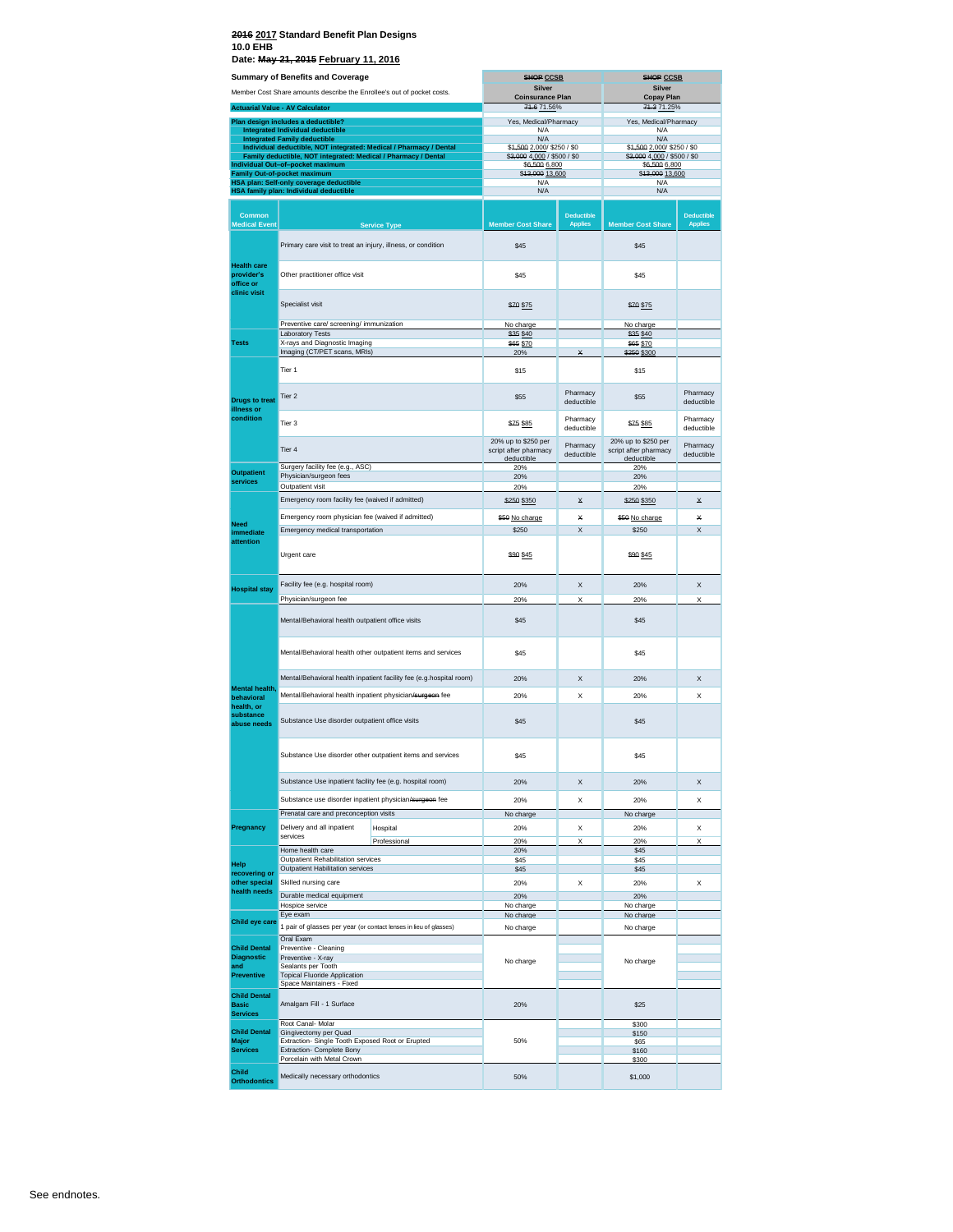| <b>Summary of Benefits and Coverage</b>                                |                                                                                                    | <b>SHOP CCSB</b>                             |                                     | <b>SHOP CCSB</b>                             |                                     |
|------------------------------------------------------------------------|----------------------------------------------------------------------------------------------------|----------------------------------------------|-------------------------------------|----------------------------------------------|-------------------------------------|
| Member Cost Share amounts describe the Enrollee's out of pocket costs. |                                                                                                    | <b>Silver</b><br><b>Coinsurance Plan</b>     |                                     | Silver<br><b>Copay Plan</b>                  |                                     |
|                                                                        | <b>Actuarial Value - AV Calculator</b>                                                             | 74.6 71.56%                                  |                                     | 74.3 71.25%                                  |                                     |
|                                                                        | Plan design includes a deductible?                                                                 | Yes, Medical/Pharmacy                        |                                     | Yes, Medical/Pharmacy                        |                                     |
|                                                                        | <b>Integrated Individual deductible</b><br><b>Integrated Family deductible</b>                     | N/A<br><b>N/A</b>                            |                                     | N/A<br>N/A                                   |                                     |
|                                                                        | Individual deductible, NOT integrated: Medical / Pharmacy / Dental                                 | \$4,500 2,000/ \$250 / \$0                   |                                     | \$4,500 2,000/ \$250 / \$0                   |                                     |
|                                                                        | Family deductible, NOT integrated: Medical / Pharmacy / Dental<br>Individual Out-of-pocket maximum | \$3,000 4,000 / \$500 / \$0<br>\$6,500 6,800 |                                     | \$3,000 4,000 / \$500 / \$0<br>\$6,500 6,800 |                                     |
|                                                                        | <b>Family Out-of-pocket maximum</b><br>HSA plan: Self-only coverage deductible                     | \$43,000 13,600<br>N/A                       |                                     | \$43,000 13,600<br>N/A                       |                                     |
|                                                                        | HSA family plan: Individual deductible                                                             | N/A                                          |                                     | N/A                                          |                                     |
|                                                                        |                                                                                                    |                                              |                                     |                                              |                                     |
| <b>Common</b><br><b>Medical Event</b>                                  | <b>Service Type</b>                                                                                | <b>Member Cost Share</b>                     | <b>Deductible</b><br><b>Applies</b> | <b>Member Cost Share</b>                     | <b>Deductible</b><br><b>Applies</b> |
|                                                                        |                                                                                                    |                                              |                                     |                                              |                                     |
|                                                                        | Primary care visit to treat an injury, illness, or condition                                       | \$45                                         |                                     | \$45                                         |                                     |
| <b>Health care</b><br>provider's<br>office or<br>clinic visit          | Other practitioner office visit                                                                    | \$45                                         |                                     | \$45                                         |                                     |
|                                                                        | Specialist visit                                                                                   | \$70 \$75                                    |                                     | \$70 \$75                                    |                                     |
|                                                                        | Preventive care/ screening/ immunization                                                           | No charge                                    |                                     | No charge                                    |                                     |
| <b>Tests</b>                                                           | <b>Laboratory Tests</b><br>X-rays and Diagnostic Imaging                                           | \$35 \$40<br>\$65 \$70                       |                                     | \$35 \$40<br>\$65 \$70                       |                                     |
|                                                                        | Imaging (CT/PET scans, MRIs)                                                                       | 20%                                          | ¥                                   | \$250 \$300                                  |                                     |
|                                                                        | Tier 1                                                                                             | \$15                                         |                                     | \$15                                         |                                     |
| <b>Drugs to treat</b>                                                  | Tier <sub>2</sub>                                                                                  | \$55                                         | Pharmacy<br>deductible              | \$55                                         | Pharmacy<br>deductible              |
| illness or<br>condition                                                | Tier <sub>3</sub>                                                                                  | \$75 \$85                                    | Pharmacy<br>deductible              | \$75 \$85                                    | Pharmacy<br>deductible              |
|                                                                        | Tier <sub>4</sub>                                                                                  | 20% up to \$250 per<br>script after pharmacy | Pharmacy<br>deductible              | 20% up to \$250 per<br>script after pharmacy | Pharmacy<br>deductible              |
| <b>Outpatient</b>                                                      | Surgery facility fee (e.g., ASC)                                                                   | deductible<br>20%                            |                                     | deductible<br>20%                            |                                     |
| services                                                               | Physician/surgeon fees<br>Outpatient visit                                                         | 20%                                          |                                     | 20%                                          |                                     |
|                                                                        | Emergency room facility fee (waived if admitted)                                                   | 20%                                          |                                     | 20%                                          | $\star$                             |
|                                                                        |                                                                                                    | \$250 \$350                                  | x                                   | \$250 \$350                                  |                                     |
| <b>Need</b>                                                            | Emergency room physician fee (waived if admitted)<br>Emergency medical transportation              | \$50 No charge                               | ¥                                   | \$50 No charge                               | ¥                                   |
| immediate<br>attention                                                 |                                                                                                    | \$250                                        | X                                   | \$250                                        | X                                   |
|                                                                        | Urgent care                                                                                        | \$90 \$45                                    |                                     | \$90 \$45                                    |                                     |
| <b>Hospital stay</b>                                                   | Facility fee (e.g. hospital room)                                                                  | 20%                                          | X                                   | 20%                                          | X                                   |
|                                                                        | Physician/surgeon fee                                                                              | 20%                                          | Χ                                   | 20%                                          | X                                   |
|                                                                        | Mental/Behavioral health outpatient office visits                                                  | \$45                                         |                                     | \$45                                         |                                     |
|                                                                        | Mental/Behavioral health other outpatient items and services                                       | \$45                                         |                                     | \$45                                         |                                     |
|                                                                        | Mental/Behavioral health inpatient facility fee (e.g.hospital room)                                | 20%                                          | X                                   | 20%                                          | X                                   |
| Mental health.                                                         | Mental/Behavioral health inpatient physician/surgeon fee                                           | 20%                                          | X                                   | 20%                                          | X                                   |
| behavioral<br>health, or                                               |                                                                                                    |                                              |                                     |                                              |                                     |
| substance<br>abuse needs                                               | Substance Use disorder outpatient office visits                                                    | \$45                                         |                                     | \$45                                         |                                     |
|                                                                        | Substance Use disorder other outpatient items and services                                         | \$45                                         |                                     | \$45                                         |                                     |
|                                                                        | Substance Use inpatient facility fee (e.g. hospital room)                                          | 20%                                          | X                                   | 20%                                          | X                                   |
|                                                                        | Substance use disorder inpatient physician/surgeon fee                                             | 20%                                          | Χ                                   | 20%                                          | Χ                                   |
|                                                                        | Prenatal care and preconception visits                                                             | No charge                                    |                                     | No charge                                    |                                     |
| Pregnancy                                                              | Delivery and all inpatient<br>Hospital                                                             | 20%                                          | Χ                                   | 20%                                          | Χ                                   |
|                                                                        | services<br>Professional                                                                           | 20%                                          | Χ                                   | 20%                                          | Χ                                   |
|                                                                        | Home health care<br>Outpatient Rehabilitation services                                             | 20%<br>\$45                                  |                                     | \$45<br>\$45                                 |                                     |
| Help<br>recovering or                                                  | Outpatient Habilitation services                                                                   | \$45                                         |                                     | \$45                                         |                                     |
| other special                                                          | Skilled nursing care                                                                               | 20%                                          | X                                   | 20%                                          | X                                   |
| health needs                                                           | Durable medical equipment                                                                          | 20%                                          |                                     | 20%                                          |                                     |
|                                                                        | Hospice service<br>Eye exam                                                                        | No charge<br>No charge                       |                                     | No charge<br>No charge                       |                                     |
| Child eye care                                                         | 1 pair of glasses per year (or contact lenses in lieu of glasses)                                  | No charge                                    |                                     | No charge                                    |                                     |
|                                                                        | Oral Exam                                                                                          |                                              |                                     |                                              |                                     |
| <b>Child Dental</b><br><b>Diagnostic</b>                               | Preventive - Cleaning<br>Preventive - X-ray                                                        |                                              |                                     |                                              |                                     |
| and                                                                    | Sealants per Tooth                                                                                 | No charge                                    |                                     | No charge                                    |                                     |
| Preventive                                                             | <b>Topical Fluoride Application</b><br>Space Maintainers - Fixed                                   |                                              |                                     |                                              |                                     |
| <b>Child Dental</b><br><b>Basic</b>                                    | Amalgam Fill - 1 Surface                                                                           | 20%                                          |                                     | \$25                                         |                                     |
| <b>Services</b>                                                        |                                                                                                    |                                              |                                     |                                              |                                     |
| <b>Child Dental</b>                                                    | Root Canal- Molar<br>Gingivectomy per Quad                                                         |                                              |                                     | \$300<br>\$150                               |                                     |
| Major                                                                  | Extraction- Single Tooth Exposed Root or Erupted                                                   | 50%                                          |                                     | \$65                                         |                                     |
| <b>Services</b>                                                        | Extraction- Complete Bony<br>Porcelain with Metal Crown                                            |                                              |                                     | \$160<br>\$300                               |                                     |
| Child<br><b>Orthodontics</b>                                           | Medically necessary orthodontics                                                                   | 50%                                          |                                     | \$1,000                                      |                                     |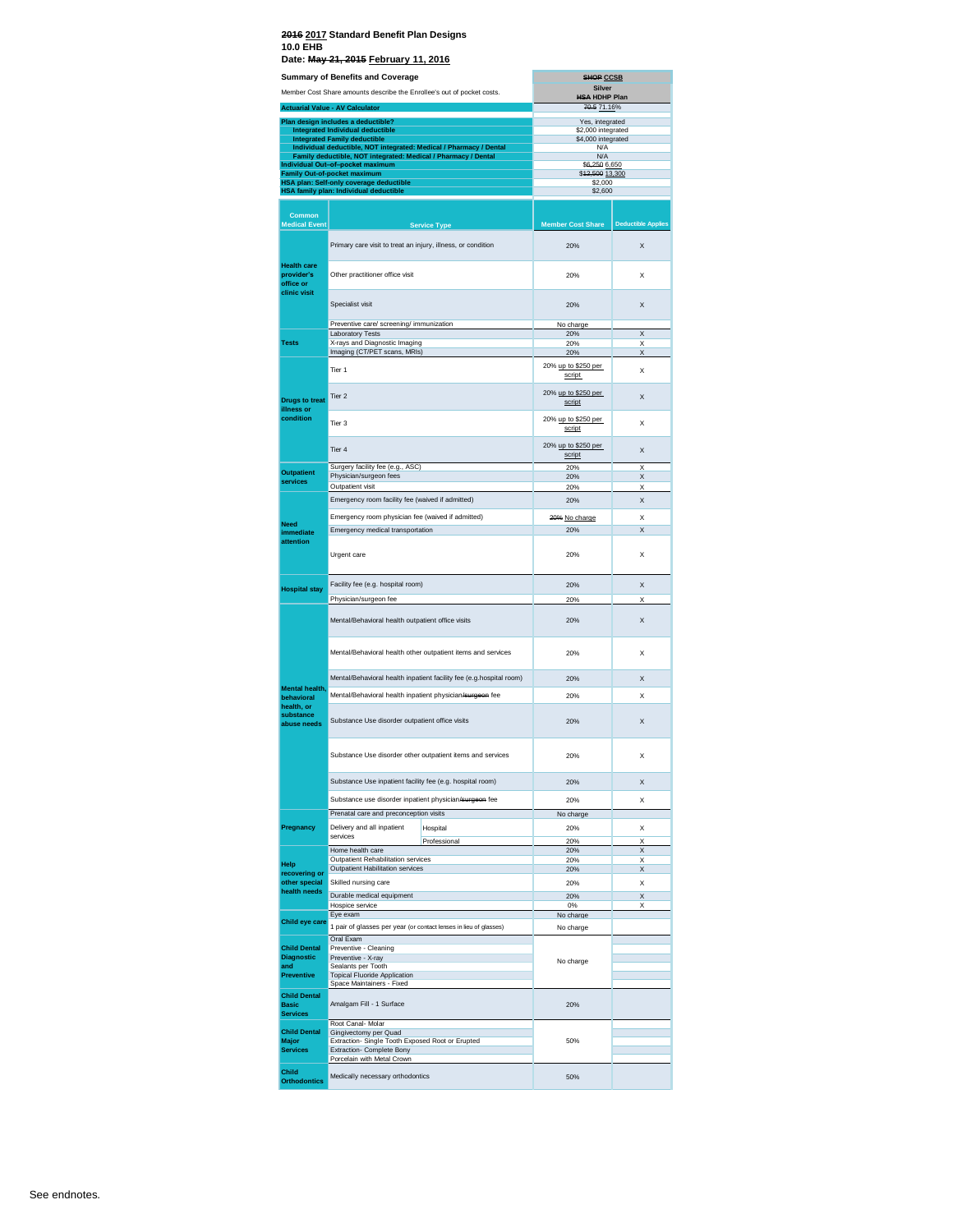|                                                                        | <b>Summary of Benefits and Coverage</b>                                                                   |                               | <b>SHOP CCSB</b><br><b>Silver</b>     |                           |
|------------------------------------------------------------------------|-----------------------------------------------------------------------------------------------------------|-------------------------------|---------------------------------------|---------------------------|
| Member Cost Share amounts describe the Enrollee's out of pocket costs. |                                                                                                           |                               | <b>HSA HDHP Plan</b>                  |                           |
|                                                                        | <b>Actuarial Value - AV Calculator</b>                                                                    |                               | 70.5 71.16%                           |                           |
|                                                                        | Plan design includes a deductible?<br><b>Integrated Individual deductible</b>                             |                               | Yes, integrated<br>\$2,000 integrated |                           |
|                                                                        | <b>Integrated Family deductible</b><br>Individual deductible, NOT integrated: Medical / Pharmacy / Dental |                               | \$4,000 integrated<br>N/A             |                           |
|                                                                        | Family deductible, NOT integrated: Medical / Pharmacy / Dental                                            |                               | N/A                                   |                           |
|                                                                        | Individual Out-of-pocket maximum<br><b>Family Out-of-pocket maximum</b>                                   |                               | \$6,250 6,650<br>\$42,500 13,300      |                           |
|                                                                        | HSA plan: Self-only coverage deductible<br>HSA family plan: Individual deductible                         |                               | \$2,000<br>\$2,600                    |                           |
|                                                                        |                                                                                                           |                               |                                       |                           |
| <b>Common</b>                                                          |                                                                                                           |                               |                                       |                           |
| <b>Medical Event</b>                                                   |                                                                                                           | <b>Service Type</b>           | <b>Member Cost Share</b>              | <b>Deductible Applies</b> |
| <b>Health care</b>                                                     | Primary care visit to treat an injury, illness, or condition                                              |                               | 20%                                   | X                         |
| provider's<br>office or<br>clinic visit                                | Other practitioner office visit                                                                           |                               | 20%                                   | X                         |
|                                                                        | Specialist visit                                                                                          |                               | 20%                                   | X                         |
|                                                                        | Preventive care/ screening/ immunization<br>Laboratory Tests                                              |                               | No charge<br>20%                      | X                         |
| <b>Tests</b>                                                           | X-rays and Diagnostic Imaging                                                                             |                               | 20%                                   | X                         |
|                                                                        | Imaging (CT/PET scans, MRIs)                                                                              |                               | 20%                                   | X                         |
|                                                                        | Tier 1                                                                                                    |                               | 20% up to \$250 per<br>script         | X                         |
| <b>Drugs to treat</b><br>illness or                                    | Tier <sub>2</sub>                                                                                         |                               | 20% up to \$250 per<br>script         | X                         |
| condition                                                              | Tier 3                                                                                                    | 20% up to \$250 per<br>script | X                                     |                           |
|                                                                        | Tier 4                                                                                                    | 20% up to \$250 per<br>script | X                                     |                           |
| <b>Outpatient</b>                                                      | Surgery facility fee (e.g., ASC)                                                                          |                               | 20%                                   | X                         |
| services                                                               | Physician/surgeon fees<br>Outpatient visit                                                                |                               | 20%<br>20%                            | X<br>X                    |
|                                                                        | Emergency room facility fee (waived if admitted)                                                          |                               | 20%                                   | X                         |
|                                                                        | Emergency room physician fee (waived if admitted)                                                         |                               |                                       | X                         |
| Need                                                                   | Emergency medical transportation                                                                          |                               | 20% No charge<br>20%                  | X                         |
| immediate<br>attention                                                 | Urgent care                                                                                               |                               | 20%                                   | X                         |
| <b>Hospital stay</b>                                                   | Facility fee (e.g. hospital room)                                                                         |                               | 20%                                   | X                         |
|                                                                        | Physician/surgeon fee                                                                                     |                               | 20%                                   | X                         |
|                                                                        | Mental/Behavioral health outpatient office visits                                                         |                               | 20%                                   | X                         |
|                                                                        | Mental/Behavioral health other outpatient items and services                                              |                               | 20%                                   | x                         |
|                                                                        | Mental/Behavioral health inpatient facility fee (e.g.hospital room)                                       |                               | 20%                                   | X                         |
| Mental health,<br>behavioral                                           | Mental/Behavioral health inpatient physician/surgeon fee                                                  |                               | 20%                                   | X                         |
| health, or<br>substance                                                | Substance Use disorder outpatient office visits                                                           |                               | 20%                                   | X                         |
|                                                                        | Substance Use disorder other outpatient items and services                                                |                               | 20%                                   | x                         |
|                                                                        | Substance Use inpatient facility fee (e.g. hospital room)                                                 |                               |                                       |                           |
|                                                                        | Substance use disorder inpatient physician/surgeon fee                                                    |                               | 20%                                   | X                         |
|                                                                        | Prenatal care and preconception visits                                                                    |                               | 20%<br>No charge                      | x                         |
| Pregnancy                                                              | Delivery and all inpatient                                                                                | Hospital                      | 20%                                   | X                         |
|                                                                        | services                                                                                                  | Professional                  | 20%                                   | X                         |
|                                                                        | Home health care<br>Outpatient Rehabilitation services                                                    |                               | 20%<br>20%                            | X<br>X                    |
| Help<br>recovering or                                                  | Outpatient Habilitation services                                                                          |                               | 20%                                   | X                         |
| other special<br>health needs                                          | Skilled nursing care                                                                                      |                               | 20%                                   | X                         |
|                                                                        | Durable medical equipment<br>Hospice service                                                              |                               | 20%<br>0%                             | X<br>X                    |
| Child eye care                                                         | Eye exam                                                                                                  |                               | No charge                             |                           |
|                                                                        | 1 pair of glasses per year (or contact lenses in lieu of glasses)                                         |                               | No charge                             |                           |
| <b>Child Dental</b>                                                    | Oral Exam<br>Preventive - Cleaning                                                                        |                               |                                       |                           |
| <b>Diagnostic</b><br>and                                               | Preventive - X-ray<br>Sealants per Tooth                                                                  |                               | No charge                             |                           |
| Preventive                                                             | <b>Topical Fluoride Application</b><br>Space Maintainers - Fixed                                          |                               |                                       |                           |
| <b>Child Dental</b>                                                    |                                                                                                           |                               | 20%                                   |                           |
| <b>Basic</b><br><b>Services</b>                                        | Amalgam Fill - 1 Surface                                                                                  |                               |                                       |                           |
| <b>Child Dental</b>                                                    | Root Canal-Molar<br>Gingivectomy per Quad                                                                 |                               |                                       |                           |
| Major<br><b>Services</b>                                               | Extraction- Single Tooth Exposed Root or Erupted<br>Extraction- Complete Bony                             |                               | 50%                                   |                           |
|                                                                        | Porcelain with Metal Crown                                                                                |                               |                                       |                           |
| Child                                                                  | Medically necessary orthodontics                                                                          |                               | 50%                                   |                           |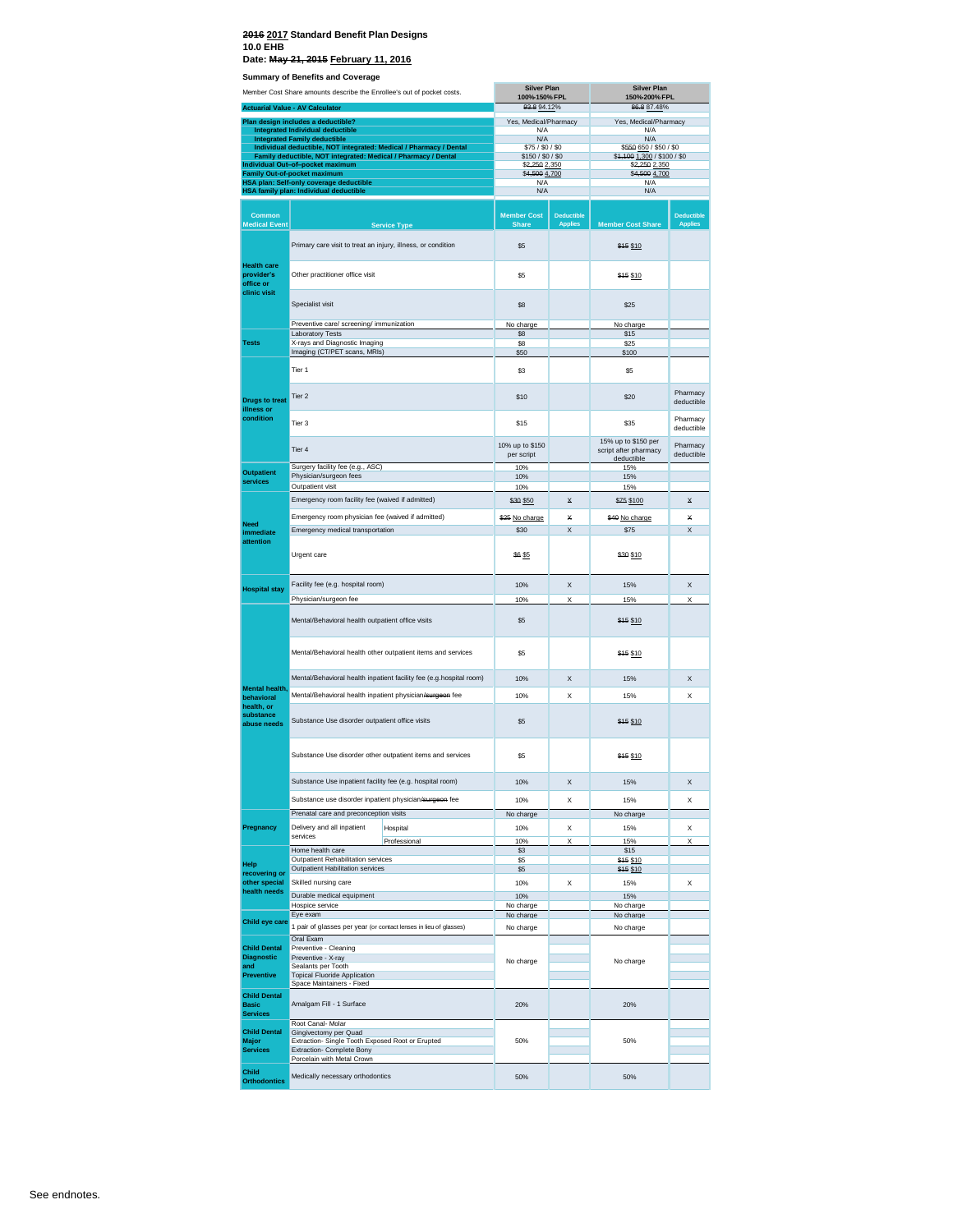## **2016 2017 Standard Benefit Plan Designs 10.0 EHB**

**Date: May 21, 2015 February 11, 2016**

| Member Cost Share amounts describe the Enrollee's out of pocket costs. |                                                                                                                                      | <b>Silver Plan</b><br>100%-150% FPL                                 |                                       | <b>Silver Plan</b><br>150%-200% FPL |                                                           |                                     |
|------------------------------------------------------------------------|--------------------------------------------------------------------------------------------------------------------------------------|---------------------------------------------------------------------|---------------------------------------|-------------------------------------|-----------------------------------------------------------|-------------------------------------|
| <b>Actuarial Value - AV Calculator</b>                                 |                                                                                                                                      | 93.8 94.12%                                                         |                                       | 86.8 87.48%                         |                                                           |                                     |
|                                                                        | Plan design includes a deductible?<br><b>Integrated Individual deductible</b>                                                        |                                                                     | Yes, Medical/Pharmacy<br>N/A          |                                     | Yes, Medical/Pharmacy<br>N/A                              |                                     |
|                                                                        | <b>Integrated Family deductible</b>                                                                                                  |                                                                     | N/A                                   |                                     | N/A                                                       |                                     |
|                                                                        | Individual deductible, NOT integrated: Medical / Pharmacy / Dental<br>Family deductible, NOT integrated: Medical / Pharmacy / Dental |                                                                     | \$75 / \$0 / \$0<br>\$150 / \$0 / \$0 |                                     | \$550 650 / \$50 / \$0<br>\$4,100 1,300 / \$100 / \$0     |                                     |
|                                                                        | Individual Out-of-pocket maximum                                                                                                     |                                                                     | \$2,250 2,350<br>\$4,500 4,700        |                                     | \$2,250 2,350<br>\$4,500 4,700                            |                                     |
|                                                                        | Family Out-of-pocket maximum<br>HSA plan: Self-only coverage deductible                                                              |                                                                     | N/A                                   |                                     | N/A                                                       |                                     |
|                                                                        | HSA family plan: Individual deductible                                                                                               |                                                                     | N/A                                   |                                     | N/A                                                       |                                     |
| <b>Common</b><br><b>Medical Event</b>                                  |                                                                                                                                      | <b>Service Type</b>                                                 | <b>Member Cost</b><br><b>Share</b>    | <b>Deductible</b><br><b>Applies</b> | <b>Member Cost Share</b>                                  | <b>Deductible</b><br><b>Applies</b> |
|                                                                        | Primary care visit to treat an injury, illness, or condition                                                                         |                                                                     | \$5                                   |                                     | \$45 \$10                                                 |                                     |
| <b>Health care</b><br>provider's<br>office or<br>clinic visit          | Other practitioner office visit                                                                                                      |                                                                     | \$5                                   |                                     | \$15 \$10                                                 |                                     |
|                                                                        | Specialist visit                                                                                                                     |                                                                     | \$8                                   |                                     | \$25                                                      |                                     |
|                                                                        | Preventive care/ screening/ immunization                                                                                             |                                                                     | No charge                             |                                     | No charge                                                 |                                     |
| Tests                                                                  | <b>Laboratory Tests</b><br>X-rays and Diagnostic Imaging                                                                             |                                                                     | \$8<br>\$8                            |                                     | \$15<br>\$25                                              |                                     |
|                                                                        | Imaging (CT/PET scans, MRIs)                                                                                                         |                                                                     | \$50                                  |                                     | \$100                                                     |                                     |
|                                                                        | Tier 1                                                                                                                               |                                                                     | \$3                                   |                                     | \$5                                                       |                                     |
| <b>Drugs to treat</b><br>illness or                                    | Tier 2                                                                                                                               |                                                                     | \$10                                  |                                     | \$20                                                      | Pharmacy<br>deductible              |
| condition                                                              | Tier 3                                                                                                                               |                                                                     | \$15                                  |                                     | \$35                                                      | Pharmacy<br>deductible              |
|                                                                        | Tier 4                                                                                                                               |                                                                     | 10% up to \$150<br>per script         |                                     | 15% up to \$150 per<br>script after pharmacy<br>deductibl | Pharmacy<br>deductible              |
| <b>Outpatient</b>                                                      | Surgery facility fee (e.g., ASC)<br>Physician/surgeon fees                                                                           |                                                                     | 10%<br>10%                            |                                     | 15%<br>15%                                                |                                     |
| services                                                               | Outpatient visit                                                                                                                     |                                                                     | 10%                                   |                                     | 15%                                                       |                                     |
|                                                                        | Emergency room facility fee (waived if admitted)                                                                                     |                                                                     | \$30 \$50                             | ×                                   | \$75 \$100                                                | ×                                   |
|                                                                        | Emergency room physician fee (waived if admitted)                                                                                    |                                                                     | \$25 No charge                        | ×                                   | \$40 No charge                                            | ¥                                   |
| Need<br>immediate                                                      | Emergency medical transportation                                                                                                     |                                                                     | \$30                                  | X                                   | \$75                                                      | X                                   |
| attention                                                              | Urgent care                                                                                                                          |                                                                     | \$6 \$5                               |                                     | \$30 \$10                                                 |                                     |
| <b>Hospital stay</b>                                                   | Facility fee (e.g. hospital room)                                                                                                    |                                                                     | 10%                                   | X                                   | 15%                                                       | X                                   |
|                                                                        | Physician/surgeon fee                                                                                                                |                                                                     | 10%                                   | Χ                                   | 15%                                                       | Χ                                   |
|                                                                        | Mental/Behavioral health outpatient office visits                                                                                    |                                                                     | \$5                                   |                                     | \$15 \$10                                                 |                                     |
|                                                                        |                                                                                                                                      | Mental/Behavioral health other outpatient items and services        | \$5                                   |                                     | \$15 \$10                                                 |                                     |
|                                                                        |                                                                                                                                      | Mental/Behavioral health inpatient facility fee (e.g.hospital room) | 10%                                   | X                                   | 15%                                                       | X                                   |
| Mental health,<br>behavioral                                           | Mental/Behavioral health inpatient physician/surgeon fee                                                                             |                                                                     | 10%                                   | X                                   | 15%                                                       | X                                   |
| health, or<br>substance<br>abuse needs                                 | Substance Use disorder outpatient office visits                                                                                      |                                                                     | \$5                                   |                                     | \$15 \$10                                                 |                                     |
|                                                                        |                                                                                                                                      | Substance Use disorder other outpatient items and services          | \$5                                   |                                     | \$15 \$10                                                 |                                     |
|                                                                        | Substance Use inpatient facility fee (e.g. hospital room)                                                                            |                                                                     | 10%                                   | х                                   | 15%                                                       | х                                   |
|                                                                        | Substance use disorder inpatient physician/surgeon fee                                                                               |                                                                     | 10%                                   | X                                   | 15%                                                       | X                                   |
|                                                                        | Prenatal care and preconception visits                                                                                               |                                                                     | No charge                             |                                     | No charge                                                 |                                     |
| Pregnancy                                                              | Delivery and all inpatient                                                                                                           | Hospital                                                            | 10%                                   | X                                   | 15%                                                       | X                                   |
|                                                                        | services<br>Home health care                                                                                                         | Professional                                                        | 10%<br>\$3                            | X                                   | 15%<br>\$15                                               | X                                   |
| Help                                                                   | Outpatient Rehabilitation services                                                                                                   |                                                                     | \$5                                   |                                     | \$15 \$10                                                 |                                     |
| recovering or                                                          | Outpatient Habilitation services                                                                                                     |                                                                     | \$5                                   |                                     | \$15 \$10                                                 |                                     |
| other special<br>health needs                                          | Skilled nursing care                                                                                                                 |                                                                     | 10%                                   | X                                   | 15%                                                       | X                                   |
|                                                                        | Durable medical equipment<br>Hospice service                                                                                         |                                                                     | 10%<br>No charge                      |                                     | 15%<br>No charge                                          |                                     |
| Child eye care                                                         | Eye exam                                                                                                                             |                                                                     | No charge                             |                                     | No charge                                                 |                                     |
|                                                                        | 1 pair of glasses per year (or contact lenses in lieu of glasses)                                                                    |                                                                     | No charge                             |                                     | No charge                                                 |                                     |
| <b>Child Dental</b>                                                    | Oral Exam<br>Preventive - Cleaning                                                                                                   |                                                                     |                                       |                                     |                                                           |                                     |
| <b>Diagnostic</b>                                                      | Preventive - X-ray                                                                                                                   |                                                                     | No charge                             |                                     | No charge                                                 |                                     |
| and<br><b>Preventive</b>                                               | Sealants per Tooth<br><b>Topical Fluoride Application</b>                                                                            |                                                                     |                                       |                                     |                                                           |                                     |
|                                                                        | Space Maintainers - Fixed                                                                                                            |                                                                     |                                       |                                     |                                                           |                                     |
| <b>Child Dental</b><br><b>Basic</b><br><b>Services</b>                 | Amalgam Fill - 1 Surface                                                                                                             |                                                                     | 20%                                   |                                     | 20%                                                       |                                     |
| <b>Child Dental</b>                                                    | Root Canal- Molar<br>Gingivectomy per Quad                                                                                           |                                                                     |                                       |                                     |                                                           |                                     |
| Major<br><b>Services</b>                                               | Extraction- Single Tooth Exposed Root or Erupted<br>Extraction- Complete Bony<br>Porcelain with Metal Crown                          |                                                                     | 50%                                   |                                     | 50%                                                       |                                     |
| Child<br><b>Orthodontics</b>                                           | Medically necessary orthodontics                                                                                                     |                                                                     | 50%                                   |                                     | 50%                                                       |                                     |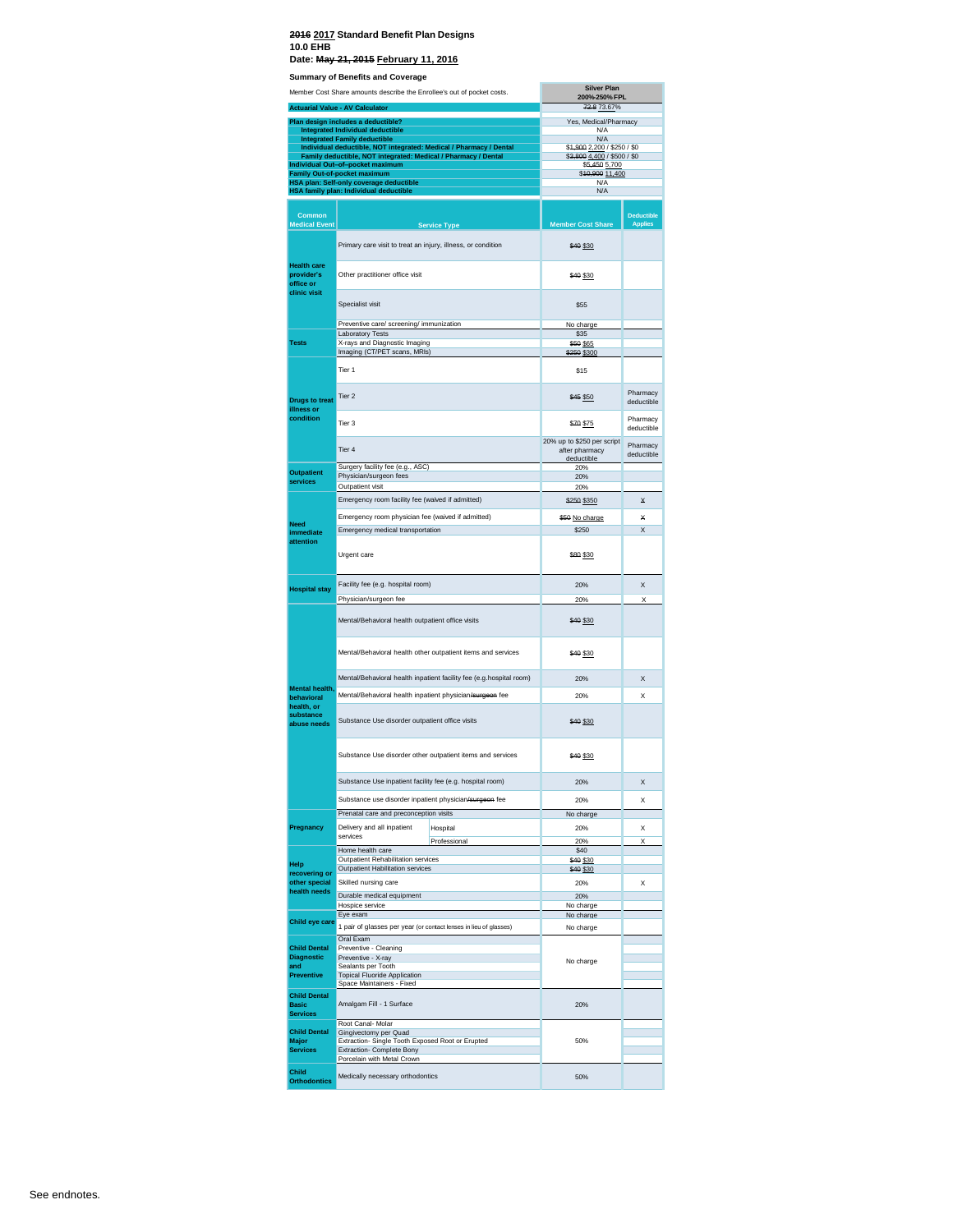|                                                        | Member Cost Share amounts describe the Enrollee's out of pocket costs.                                                               | <b>Silver Plan</b><br>200%-250% FPL                        |                                     |
|--------------------------------------------------------|--------------------------------------------------------------------------------------------------------------------------------------|------------------------------------------------------------|-------------------------------------|
|                                                        | <b>Actuarial Value - AV Calculator</b>                                                                                               | 72.8 73.67%                                                |                                     |
|                                                        | Plan design includes a deductible?<br>Integrated Individual deductible                                                               | Yes, Medical/Pharmacy<br>N/A                               |                                     |
|                                                        | <b>Integrated Family deductible</b>                                                                                                  | N/A                                                        |                                     |
|                                                        | Individual deductible, NOT integrated: Medical / Pharmacy / Dental<br>Family deductible, NOT integrated: Medical / Pharmacy / Dental | \$4,900 2,200 / \$250 / \$0<br>\$3,800 4,400 / \$500 / \$0 |                                     |
|                                                        | Individual Out-of-pocket maximum<br><b>Family Out-of-pocket maximum</b>                                                              | \$5,450 5,700<br>\$40,900 11,400                           |                                     |
|                                                        | HSA plan: Self-only coverage deductible                                                                                              | N/A<br>N/A                                                 |                                     |
|                                                        | HSA family plan: Individual deductible                                                                                               |                                                            |                                     |
| Common<br><b>Medical Event</b>                         | <b>Service Type</b>                                                                                                                  | <b>Member Cost Share</b>                                   | <b>Deductible</b><br><b>Applies</b> |
|                                                        | Primary care visit to treat an injury, illness, or condition                                                                         | \$40 \$30                                                  |                                     |
| <b>Health care</b><br>provider's<br>office or          | Other practitioner office visit                                                                                                      | \$40 \$30                                                  |                                     |
| clinic visit                                           | Specialist visit                                                                                                                     | \$55                                                       |                                     |
|                                                        | Preventive care/ screening/ immunization                                                                                             | No charge                                                  |                                     |
| <b>Tests</b>                                           | Laboratory Tests<br>X-rays and Diagnostic Imaging                                                                                    | \$35<br>\$50 \$65                                          |                                     |
|                                                        | Imaging (CT/PET scans, MRIs)                                                                                                         | \$250 \$300                                                |                                     |
|                                                        | Tier 1                                                                                                                               | \$15                                                       |                                     |
| <b>Drugs to treat</b><br>illness or                    | Tier <sub>2</sub>                                                                                                                    | \$45 \$50                                                  | Pharmacy<br>deductible              |
| condition                                              | Tier 3                                                                                                                               | \$70 \$75                                                  | Pharmacy<br>deductible              |
|                                                        | Tier 4                                                                                                                               | 20% up to \$250 per script<br>after pharmacy<br>deductible | Pharmacy<br>deductible              |
| <b>Outpatient</b>                                      | Surgery facility fee (e.g., ASC)                                                                                                     | 20%                                                        |                                     |
| services                                               | Physician/surgeon fees<br>Outpatient visit                                                                                           | 20%<br>20%                                                 |                                     |
|                                                        | Emergency room facility fee (waived if admitted)                                                                                     | \$250 \$350                                                | ×                                   |
|                                                        | Emergency room physician fee (waived if admitted)                                                                                    | \$50 No charge                                             | ¥                                   |
| <b>Need</b><br>immediate                               | Emergency medical transportation                                                                                                     | \$250                                                      | X                                   |
| attention                                              | Urgent care                                                                                                                          | \$80 \$30                                                  |                                     |
| <b>Hospital stay</b>                                   | Facility fee (e.g. hospital room)                                                                                                    | 20%                                                        | X                                   |
|                                                        | Physician/surgeon fee<br>Mental/Behavioral health outpatient office visits                                                           | 20%<br>\$40 \$30                                           | X                                   |
|                                                        | Mental/Behavioral health other outpatient items and services                                                                         | \$40 \$30                                                  |                                     |
|                                                        | Mental/Behavioral health inpatient facility fee (e.g.hospital room)                                                                  | 20%                                                        | $\mathsf{x}$                        |
| Mental health,<br>behavioral                           | Mental/Behavioral health inpatient physician/surgeon fee                                                                             | 20%                                                        | x                                   |
| health, or<br>substance<br>abuse needs                 | Substance Use disorder outpatient office visits                                                                                      | \$40 \$30                                                  |                                     |
|                                                        | Substance Use disorder other outpatient items and services                                                                           | \$40 \$30                                                  |                                     |
|                                                        | Substance Use inpatient facility fee (e.g. hospital room)                                                                            | 20%                                                        | X                                   |
|                                                        | Substance use disorder inpatient physician/surgeon fee                                                                               | 20%                                                        | x                                   |
|                                                        | Prenatal care and preconception visits                                                                                               | No charge                                                  |                                     |
| Pregnancy                                              | Delivery and all inpatient<br>Hospital<br>services                                                                                   | 20%                                                        | x                                   |
|                                                        | Professional<br>Home health care                                                                                                     | 20%<br>\$40                                                | Χ                                   |
| Help                                                   | Outpatient Rehabilitation services                                                                                                   | \$40 \$30                                                  |                                     |
| recovering or                                          | <b>Outpatient Habilitation services</b>                                                                                              | \$40 \$30                                                  |                                     |
| other special<br>health needs                          | Skilled nursing care<br>Durable medical equipment                                                                                    | 20%<br>20%                                                 | X                                   |
|                                                        | Hospice service                                                                                                                      | No charge                                                  |                                     |
| Child eye care                                         | Eye exam                                                                                                                             | No charge                                                  |                                     |
| <b>Child Dental</b>                                    | 1 pair of glasses per year (or contact lenses in lieu of glasses)<br>Oral Exam<br>Preventive - Cleaning                              | No charge                                                  |                                     |
| <b>Diagnostic</b>                                      | Preventive - X-ray                                                                                                                   | No charge                                                  |                                     |
| and<br><b>Preventive</b>                               | Sealants per Tooth<br><b>Topical Fluoride Application</b>                                                                            |                                                            |                                     |
|                                                        | Space Maintainers - Fixed                                                                                                            |                                                            |                                     |
| <b>Child Dental</b><br><b>Basic</b><br><b>Services</b> | Amalgam Fill - 1 Surface                                                                                                             | 20%                                                        |                                     |
|                                                        | Root Canal- Molar                                                                                                                    |                                                            |                                     |
| <b>Child Dental</b><br>Major                           | Gingivectomy per Quad<br>Extraction- Single Tooth Exposed Root or Erupted                                                            | 50%                                                        |                                     |
| <b>Services</b>                                        | Extraction- Complete Bony<br>Porcelain with Metal Crown                                                                              |                                                            |                                     |
| Child<br><b>Orthodontics</b>                           | Medically necessary orthodontics                                                                                                     | 50%                                                        |                                     |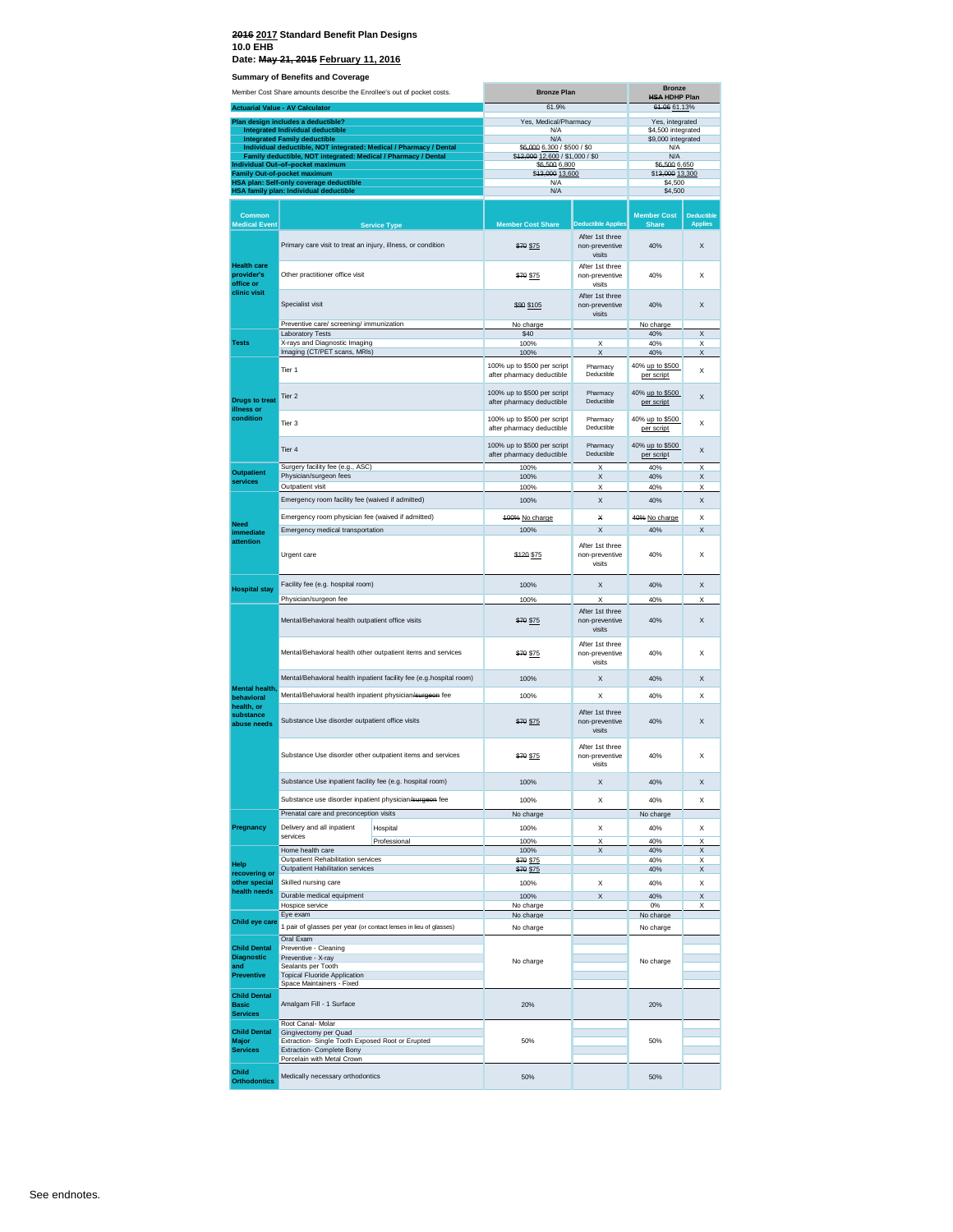### **2016 2017 Standard Benefit Plan Designs 10.0 EHB**

**Date: May 21, 2015 February 11, 2016**

| <b>Udining y Or Benems and Outerage</b><br>Member Cost Share amounts describe the Enrollee's out of pocket costs. |                                                                                                        | <b>Bronze Plan</b>                                                  | <b>Bronze</b>                                                  |                                             |                                          |                                     |
|-------------------------------------------------------------------------------------------------------------------|--------------------------------------------------------------------------------------------------------|---------------------------------------------------------------------|----------------------------------------------------------------|---------------------------------------------|------------------------------------------|-------------------------------------|
| <b>Actuarial Value - AV Calculator</b>                                                                            |                                                                                                        | 61.9%                                                               |                                                                | <b>HSA HDHP Plan</b><br>61.06 61.13%        |                                          |                                     |
|                                                                                                                   | Plan design includes a deductible?                                                                     |                                                                     | Yes, Medical/Pharmacy                                          |                                             | Yes, integrated                          |                                     |
|                                                                                                                   | Integrated Individual deductible<br><b>Integrated Family deductible</b>                                |                                                                     | <b>N/A</b><br>N/A                                              |                                             | \$4,500 integrated<br>\$9,000 integrated |                                     |
|                                                                                                                   | Individual deductible, NOT integrated: Medical / Pharmacy / Dental                                     |                                                                     | \$6,000 6,300 / \$500 / \$0<br>\$42,000 12,600 / \$1,000 / \$0 |                                             | N/A                                      |                                     |
|                                                                                                                   | Family deductible, NOT integrated: Medical / Pharmacy / Dental<br>Individual Out-of-pocket maximum     |                                                                     | \$6,500 6,800                                                  |                                             | N/A<br>\$6,500 6,650                     |                                     |
|                                                                                                                   | Family Out-of-pocket maximum<br>HSA plan: Self-only coverage deductible                                |                                                                     | \$43,000 13,600<br>N/A                                         |                                             | \$13,000 13,300<br>\$4,500               |                                     |
|                                                                                                                   | HSA family plan: Individual deductible                                                                 |                                                                     | N/A                                                            |                                             | \$4,500                                  |                                     |
| <b>Common</b><br><b>Medical Event</b>                                                                             |                                                                                                        | <b>Service Type</b>                                                 | <b>Member Cost Share</b>                                       | <b>Deductible Applies</b>                   | <b>Member Cost</b><br><b>Share</b>       | <b>Deductible</b><br><b>Applies</b> |
|                                                                                                                   | Primary care visit to treat an injury, illness, or condition                                           |                                                                     | \$70 \$75                                                      | After 1st three<br>non-preventive<br>visits | 40%                                      | X                                   |
| <b>Health care</b><br>provider's<br>office or                                                                     | Other practitioner office visit                                                                        |                                                                     | \$70 \$75                                                      | After 1st three<br>non-preventive<br>visits | 40%                                      | X                                   |
| clinic visit                                                                                                      | Specialist visit                                                                                       |                                                                     | \$99 \$105                                                     | After 1st three<br>non-preventive<br>visits | 40%                                      | X                                   |
|                                                                                                                   | Preventive care/ screening/ immunization                                                               |                                                                     | No charge                                                      |                                             | No charge                                |                                     |
| <b>Tests</b>                                                                                                      | <b>Laboratory Tests</b><br>X-rays and Diagnostic Imaging                                               |                                                                     | \$40<br>100%                                                   | Χ                                           | 40%<br>40%                               | X<br>X                              |
|                                                                                                                   | Imaging (CT/PET scans, MRIs)                                                                           |                                                                     | 100%                                                           | X                                           | 40%                                      | X                                   |
|                                                                                                                   | Tier 1                                                                                                 |                                                                     | 100% up to \$500 per script<br>after pharmacy deductible       | Pharmacy<br>Deductible                      | 40% up to \$500<br>per script            | X                                   |
| <b>Drugs to treat</b><br>illness or                                                                               | Tier <sub>2</sub>                                                                                      |                                                                     | 100% up to \$500 per script<br>after pharmacy deductible       | Pharmacy<br>Deductible                      | 40% up to \$500<br>per script            | X                                   |
| condition                                                                                                         | Tier 3                                                                                                 |                                                                     | 100% up to \$500 per script<br>after pharmacy deductible       | Pharmacy<br>Deductible                      | 40% up to \$500<br>per script            | X                                   |
|                                                                                                                   | Tier <sub>4</sub>                                                                                      |                                                                     | 100% up to \$500 per script<br>after pharmacy deductible       | Pharmacy<br>Deductible                      | 40% up to \$500<br>per script            | X                                   |
| <b>Outpatient</b>                                                                                                 | Surgery facility fee (e.g., ASC)                                                                       |                                                                     | 100%                                                           | X                                           | 40%                                      | X                                   |
| services                                                                                                          | Physician/surgeon fees<br>Outpatient visit                                                             |                                                                     | 100%<br>100%                                                   | X<br>X                                      | 40%<br>40%                               | X<br>Χ                              |
|                                                                                                                   | Emergency room facility fee (waived if admitted)                                                       |                                                                     | 100%                                                           | X                                           | 40%                                      | X                                   |
|                                                                                                                   |                                                                                                        |                                                                     |                                                                |                                             |                                          |                                     |
| Need                                                                                                              | Emergency room physician fee (waived if admitted)<br>Emergency medical transportation                  |                                                                     | 100% No charge<br>100%                                         | ×<br>X                                      | 40% No charge<br>40%                     | X<br>X                              |
| immediate<br>attention                                                                                            |                                                                                                        |                                                                     |                                                                |                                             |                                          |                                     |
|                                                                                                                   | Urgent care                                                                                            |                                                                     | \$120 \$75                                                     | After 1st three<br>non-preventive<br>visits | 40%                                      | X                                   |
| <b>Hospital stay</b>                                                                                              | Facility fee (e.g. hospital room)<br>Physician/surgeon fee                                             |                                                                     | 100%                                                           | X<br>X                                      | 40%                                      | X<br>X                              |
|                                                                                                                   | Mental/Behavioral health outpatient office visits                                                      |                                                                     | 100%                                                           | After 1st three                             | 40%<br>40%                               | X                                   |
|                                                                                                                   |                                                                                                        |                                                                     | \$70 \$75                                                      | non-preventive<br>visits<br>After 1st three |                                          |                                     |
|                                                                                                                   | Mental/Behavioral health other outpatient items and services                                           |                                                                     | \$70 \$75                                                      | non-preventive<br>visits                    | 40%                                      | X                                   |
|                                                                                                                   |                                                                                                        | Mental/Behavioral health inpatient facility fee (e.g.hospital room) | 100%                                                           | X                                           | 40%                                      | X                                   |
| Mental health<br>behavioral                                                                                       | Mental/Behavioral health inpatient physician/surgeon fee                                               |                                                                     | 100%                                                           | X                                           | 40%                                      | X                                   |
| health, or<br>substance<br>abuse needs                                                                            | Substance Use disorder outpatient office visits                                                        |                                                                     | \$70 \$75                                                      | After 1st three<br>non-preventive<br>visits | 40%                                      | X                                   |
|                                                                                                                   |                                                                                                        | Substance Use disorder other outpatient items and services          | \$70 \$75                                                      | After 1st three<br>non-preventive<br>visits | 40%                                      | X                                   |
|                                                                                                                   | Substance Use inpatient facility fee (e.g. hospital room)                                              |                                                                     | 100%                                                           | Χ                                           | 40%                                      | X                                   |
|                                                                                                                   | Substance use disorder inpatient physician/surgeon fee                                                 |                                                                     | 100%                                                           | X                                           | 40%                                      | Χ                                   |
|                                                                                                                   | Prenatal care and preconception visits                                                                 |                                                                     | No charge                                                      |                                             | No charge                                |                                     |
| Pregnancy                                                                                                         | Delivery and all inpatient                                                                             | Hospital                                                            | 100%                                                           | X                                           | 40%                                      | X                                   |
|                                                                                                                   | services                                                                                               | Professional                                                        | 100%                                                           | Χ                                           | 40%                                      | Χ                                   |
|                                                                                                                   | Home health care<br>Outpatient Rehabilitation services                                                 |                                                                     | 100%<br>\$70 \$75                                              | X                                           | 40%<br>40%                               | X<br>X                              |
| Help<br>recovering or                                                                                             | Outpatient Habilitation services                                                                       |                                                                     | <del>\$70</del> \$75                                           |                                             | 40%                                      | X                                   |
| other special                                                                                                     | Skilled nursing care                                                                                   |                                                                     | 100%                                                           | X                                           | 40%                                      | X                                   |
| health needs                                                                                                      | Durable medical equipment<br>Hospice service                                                           |                                                                     | 100%                                                           | X                                           | 40%<br>0%                                | X                                   |
|                                                                                                                   | Eye exam                                                                                               |                                                                     | No charge<br>No charge                                         |                                             | No charge                                | Х                                   |
| Child eye care                                                                                                    | 1 pair of glasses per year (or contact lenses in lieu of glasses)                                      |                                                                     | No charge                                                      |                                             | No charge                                |                                     |
| <b>Child Dental</b>                                                                                               | Oral Exam                                                                                              |                                                                     |                                                                |                                             |                                          |                                     |
| <b>Diagnostic</b>                                                                                                 | Preventive - Cleaning<br>Preventive - X-ray                                                            |                                                                     | No charge                                                      |                                             | No charge                                |                                     |
| and<br><b>Preventive</b>                                                                                          | Sealants per Tooth<br><b>Topical Fluoride Application</b>                                              |                                                                     |                                                                |                                             |                                          |                                     |
|                                                                                                                   | Space Maintainers - Fixed                                                                              |                                                                     |                                                                |                                             |                                          |                                     |
| <b>Child Dental</b><br><b>Basic</b><br><b>Services</b>                                                            | Amalgam Fill - 1 Surface                                                                               |                                                                     | 20%                                                            |                                             | 20%                                      |                                     |
|                                                                                                                   | Root Canal- Molar                                                                                      |                                                                     |                                                                |                                             |                                          |                                     |
| <b>Child Dental</b><br>Major<br><b>Services</b>                                                                   | Gingivectomy per Quad<br>Extraction- Single Tooth Exposed Root or Erupted<br>Extraction- Complete Bony |                                                                     | 50%                                                            |                                             | 50%                                      |                                     |
| Child                                                                                                             | Porcelain with Metal Crown                                                                             |                                                                     | 50%                                                            |                                             | 50%                                      |                                     |
| <b>Orthodontics</b>                                                                                               | Medically necessary orthodontics                                                                       |                                                                     |                                                                |                                             |                                          |                                     |